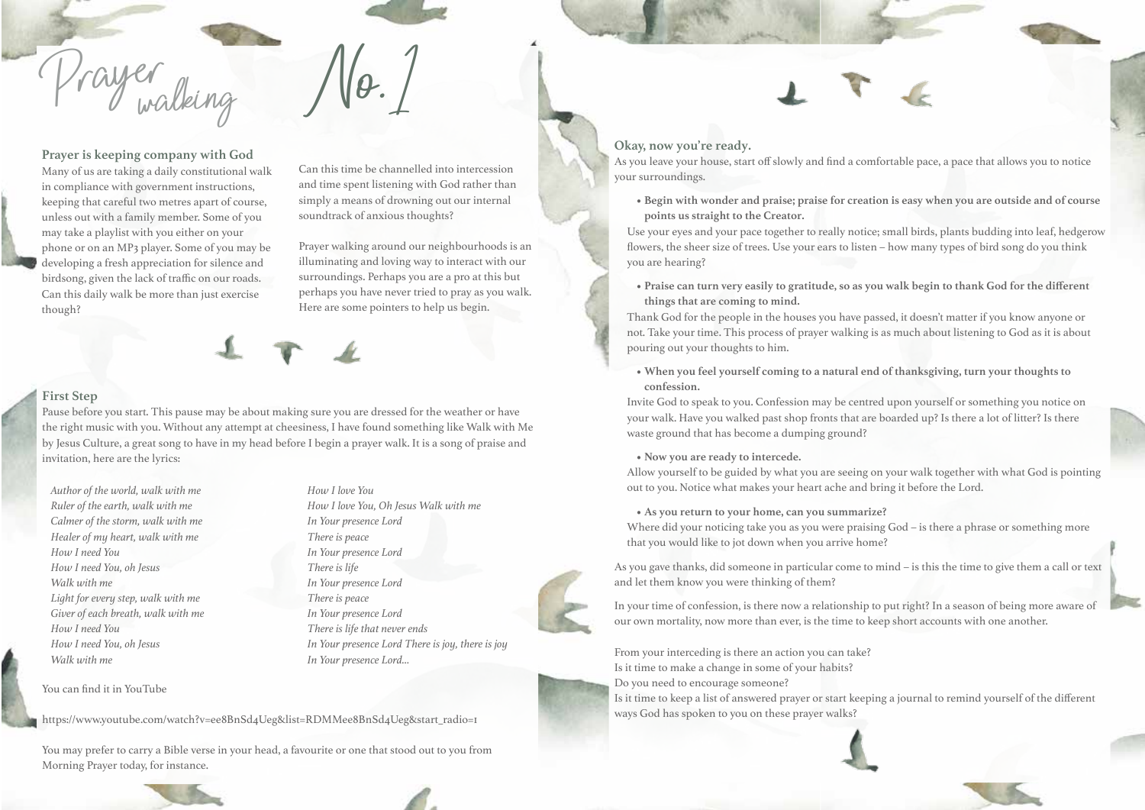

**Prayer is keeping company with God** Many of us are taking a daily constitutional walk in compliance with government instructions, keeping that careful two metres apart of course, unless out with a family member. Some of you may take a playlist with you either on your phone or on an MP3 player. Some of you may be developing a fresh appreciation for silence and birdsong, given the lack of traffic on our roads. Can this daily walk be more than just exercise though?

Can this time be channelled into intercession and time spent listening with God rather than simply a means of drowning out our internal soundtrack of anxious thoughts?

Prayer walking around our neighbourhoods is an illuminating and loving way to interact with our surroundings. Perhaps you are a pro at this but perhaps you have never tried to pray as you walk. Here are some pointers to help us begin.

# **First Step**

Pause before you start. This pause may be about making sure you are dressed for the weather or have the right music with you. Without any attempt at cheesiness, I have found something like Walk with Me by Jesus Culture, a great song to have in my head before I begin a prayer walk. It is a song of praise and invitation, here are the lyrics:

*Author of the world, walk with me Ruler of the earth, walk with me Calmer of the storm, walk with me Healer of my heart, walk with me How I need You How I need You, oh Jesus Walk with me Light for every step, walk with me Giver of each breath, walk with me How I need You How I need You, oh Jesus Walk with me* 

You can find it in YouTube

*How I love You How I love You, Oh Jesus Walk with me In Your presence Lord There is peace In Your presence Lord There is life In Your presence Lord There is peace In Your presence Lord There is life that never ends In Your presence Lord There is joy, there is joy In Your presence Lord…*



https://www.youtube.com/watch?v=ee8BnSd4Ueg&list=RDMMee8BnSd4Ueg&start\_radio=1

You may prefer to carry a Bible verse in your head, a favourite or one that stood out to you from Morning Prayer today, for instance.

## **Okay, now you're ready.**

As you leave your house, start off slowly and find a comfortable pace, a pace that allows you to notice your surroundings.

**• Begin with wonder and praise; praise for creation is easy when you are outside and of course points us straight to the Creator.**

Use your eyes and your pace together to really notice; small birds, plants budding into leaf, hedgerow flowers, the sheer size of trees. Use your ears to listen – how many types of bird song do you think you are hearing?

**• Praise can turn very easily to gratitude, so as you walk begin to thank God for the different things that are coming to mind.**

Thank God for the people in the houses you have passed, it doesn't matter if you know anyone or not. Take your time. This process of prayer walking is as much about listening to God as it is about pouring out your thoughts to him.

**• When you feel yourself coming to a natural end of thanksgiving, turn your thoughts to confession.**

Invite God to speak to you. Confession may be centred upon yourself or something you notice on your walk. Have you walked past shop fronts that are boarded up? Is there a lot of litter? Is there waste ground that has become a dumping ground?

#### **• Now you are ready to intercede.**

Allow yourself to be guided by what you are seeing on your walk together with what God is pointing out to you. Notice what makes your heart ache and bring it before the Lord.

#### **• As you return to your home, can you summarize?**

Where did your noticing take you as you were praising God – is there a phrase or something more that you would like to jot down when you arrive home?

As you gave thanks, did someone in particular come to mind – is this the time to give them a call or text and let them know you were thinking of them?

In your time of confession, is there now a relationship to put right? In a season of being more aware of our own mortality, now more than ever, is the time to keep short accounts with one another.

From your interceding is there an action you can take? Is it time to make a change in some of your habits? Do you need to encourage someone?

Is it time to keep a list of answered prayer or start keeping a journal to remind yourself of the different ways God has spoken to you on these prayer walks?

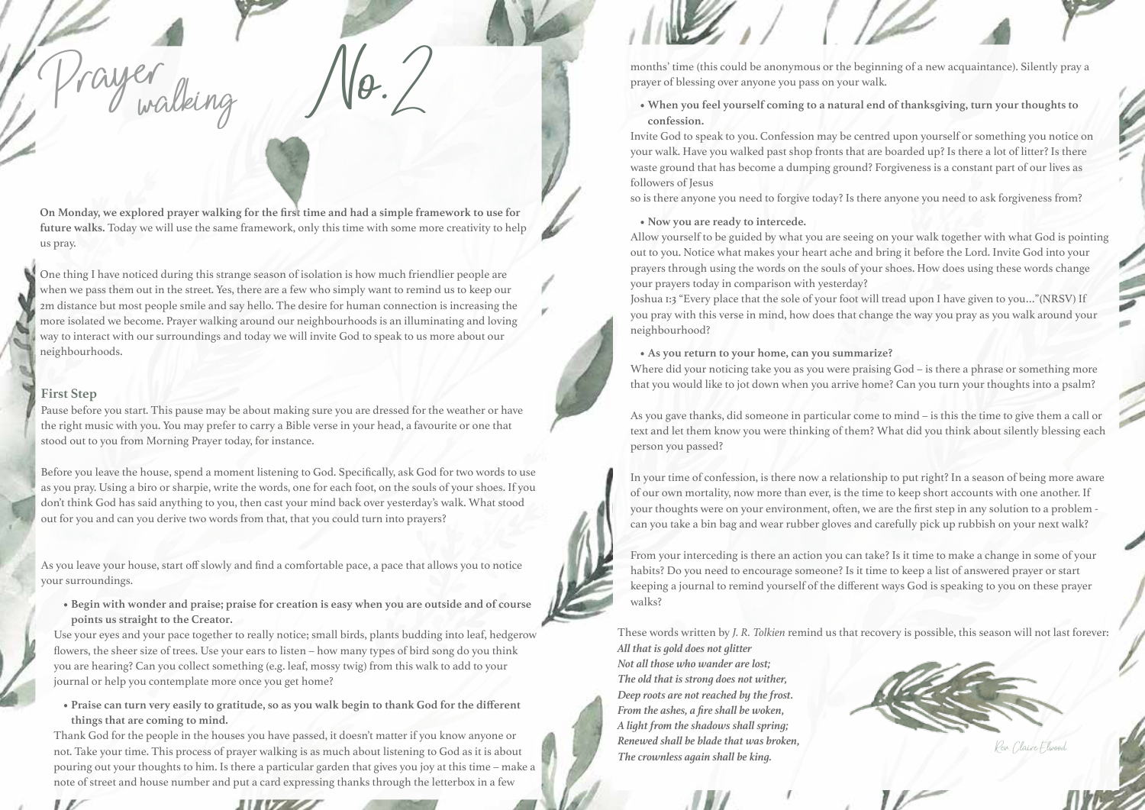**On Monday, we explored prayer walking for the first time and had a simple framework to use for future walks.** Today we will use the same framework, only this time with some more creativity to help us pray.

One thing I have noticed during this strange season of isolation is how much friendlier people are when we pass them out in the street. Yes, there are a few who simply want to remind us to keep our 2m distance but most people smile and say hello. The desire for human connection is increasing the more isolated we become. Prayer walking around our neighbourhoods is an illuminating and loving way to interact with our surroundings and today we will invite God to speak to us more about our neighbourhoods.

#### **First Step**

 $\sqrt{2}$ 

rayer<br>rayer

Pause before you start. This pause may be about making sure you are dressed for the weather or have the right music with you. You may prefer to carry a Bible verse in your head, a favourite or one that stood out to you from Morning Prayer today, for instance.

Before you leave the house, spend a moment listening to God. Specifically, ask God for two words to use as you pray. Using a biro or sharpie, write the words, one for each foot, on the souls of your shoes. If you don't think God has said anything to you, then cast your mind back over yesterday's walk. What stood out for you and can you derive two words from that, that you could turn into prayers?

As you leave your house, start off slowly and find a comfortable pace, a pace that allows you to notice your surroundings.

**• Begin with wonder and praise; praise for creation is easy when you are outside and of course points us straight to the Creator.**

Use your eyes and your pace together to really notice; small birds, plants budding into leaf, hedgerow flowers, the sheer size of trees. Use your ears to listen – how many types of bird song do you think you are hearing? Can you collect something (e.g. leaf, mossy twig) from this walk to add to your journal or help you contemplate more once you get home?

**• Praise can turn very easily to gratitude, so as you walk begin to thank God for the different things that are coming to mind.**

Thank God for the people in the houses you have passed, it doesn't matter if you know anyone or not. Take your time. This process of prayer walking is as much about listening to God as it is about pouring out your thoughts to him. Is there a particular garden that gives you joy at this time – make a note of street and house number and put a card expressing thanks through the letterbox in a few

months' time (this could be anonymous or the beginning of a new acquaintance). Silently pray a prayer of blessing over anyone you pass on your walk.

**• When you feel yourself coming to a natural end of thanksgiving, turn your thoughts to confession.**

Invite God to speak to you. Confession may be centred upon yourself or something you notice on your walk. Have you walked past shop fronts that are boarded up? Is there a lot of litter? Is there waste ground that has become a dumping ground? Forgiveness is a constant part of our lives as followers of Jesus

so is there anyone you need to forgive today? Is there anyone you need to ask forgiveness from?

#### **• Now you are ready to intercede.**

Allow yourself to be guided by what you are seeing on your walk together with what God is pointing out to you. Notice what makes your heart ache and bring it before the Lord. Invite God into your prayers through using the words on the souls of your shoes. How does using these words change your prayers today in comparison with yesterday?

Joshua 1:3 "Every place that the sole of your foot will tread upon I have given to you…"(NRSV) If you pray with this verse in mind, how does that change the way you pray as you walk around your neighbourhood?

#### **• As you return to your home, can you summarize?**

Where did your noticing take you as you were praising God – is there a phrase or something more that you would like to jot down when you arrive home? Can you turn your thoughts into a psalm?

As you gave thanks, did someone in particular come to mind – is this the time to give them a call or text and let them know you were thinking of them? What did you think about silently blessing each person you passed?

In your time of confession, is there now a relationship to put right? In a season of being more aware of our own mortality, now more than ever, is the time to keep short accounts with one another. If your thoughts were on your environment, often, we are the first step in any solution to a problem can you take a bin bag and wear rubber gloves and carefully pick up rubbish on your next walk?

From your interceding is there an action you can take? Is it time to make a change in some of your habits? Do you need to encourage someone? Is it time to keep a list of answered prayer or start keeping a journal to remind yourself of the different ways God is speaking to you on these prayer walks?

These words written by *J. R. Tolkien* remind us that recovery is possible, this season will not last forever: *All that is gold does not glitter* 

*Not all those who wander are lost; The old that is strong does not wither, Deep roots are not reached by the frost. From the ashes, a fire shall be woken, A light from the shadows shall spring; Renewed shall be blade that was broken,*  **Rev. Claire Flatter and The crownless again shall be king.** Rev. Claire Elwood **Rev.** Claire Elwood.